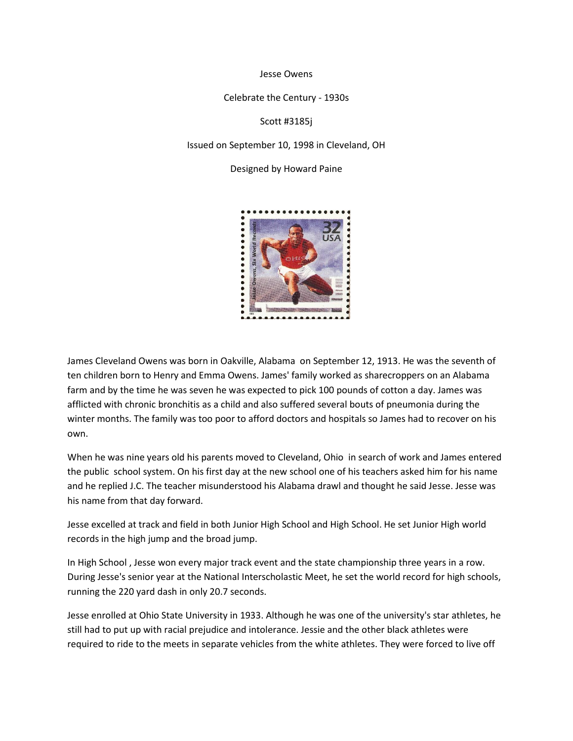Jesse Owens

Celebrate the Century - 1930s

Scott #3185j

Issued on September 10, 1998 in Cleveland, OH

Designed by Howard Paine



James Cleveland Owens was born in Oakville, Alabama on September 12, 1913. He was the seventh of ten children born to Henry and Emma Owens. James' family worked as sharecroppers on an Alabama farm and by the time he was seven he was expected to pick 100 pounds of cotton a day. James was afflicted with chronic bronchitis as a child and also suffered several bouts of pneumonia during the winter months. The family was too poor to afford doctors and hospitals so James had to recover on his own.

When he was nine years old his parents moved to Cleveland, Ohio in search of work and James entered the public school system. On his first day at the new school one of his teachers asked him for his name and he replied J.C. The teacher misunderstood his Alabama drawl and thought he said Jesse. Jesse was his name from that day forward.

Jesse excelled at track and field in both Junior High School and High School. He set Junior High world records in the high jump and the broad jump.

In High School , Jesse won every major track event and the state championship three years in a row. During Jesse's senior year at the National Interscholastic Meet, he set the world record for high schools, running the 220 yard dash in only 20.7 seconds.

Jesse enrolled at Ohio State University in 1933. Although he was one of the university's star athletes, he still had to put up with racial prejudice and intolerance. Jessie and the other black athletes were required to ride to the meets in separate vehicles from the white athletes. They were forced to live off